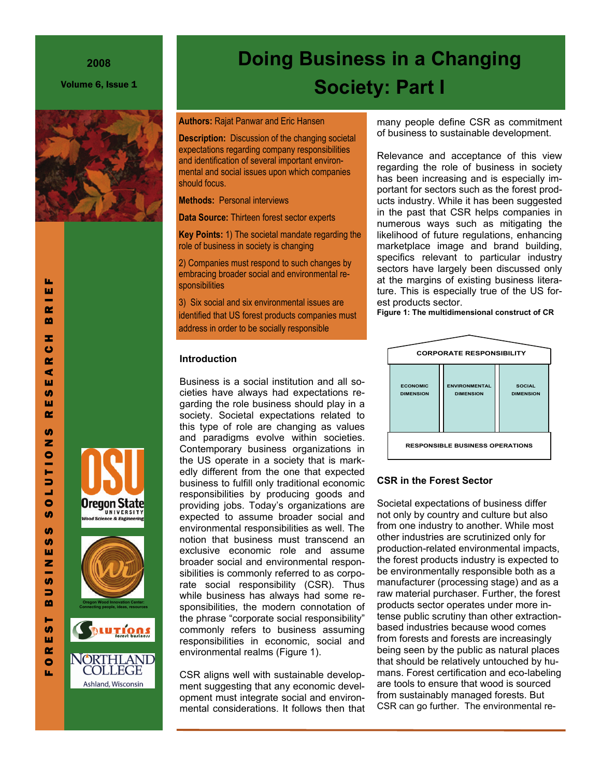### **2008**

Volume 6, Issue 1







NORTHLAND

**COLLEGE** 

Ashland, Wisconsin

# **Society: Part I**

**Doing Business in a Changing** 

**Authors:** Rajat Panwar and Eric Hansen

**Description:** Discussion of the changing societal expectations regarding company responsibilities and identification of several important environmental and social issues upon which companies should focus.

**Methods:** Personal interviews

**Data Source:** Thirteen forest sector experts

**Key Points:** 1) The societal mandate regarding the role of business in society is changing

2) Companies must respond to such changes by embracing broader social and environmental responsibilities

3) Six social and six environmental issues are identified that US forest products companies must address in order to be socially responsible

### **Introduction**

Business is a social institution and all societies have always had expectations regarding the role business should play in a society. Societal expectations related to this type of role are changing as values and paradigms evolve within societies. Contemporary business organizations in the US operate in a society that is markedly different from the one that expected business to fulfill only traditional economic responsibilities by producing goods and providing jobs. Today's organizations are expected to assume broader social and environmental responsibilities as well. The notion that business must transcend an exclusive economic role and assume broader social and environmental responsibilities is commonly referred to as corporate social responsibility (CSR). Thus while business has always had some responsibilities, the modern connotation of the phrase "corporate social responsibility" commonly refers to business assuming responsibilities in economic, social and environmental realms (Figure 1).

CSR aligns well with sustainable development suggesting that any economic development must integrate social and environmental considerations. It follows then that many people define CSR as commitment of business to sustainable development.

Relevance and acceptance of this view regarding the role of business in society has been increasing and is especially important for sectors such as the forest products industry. While it has been suggested in the past that CSR helps companies in numerous ways such as mitigating the likelihood of future regulations, enhancing marketplace image and brand building, specifics relevant to particular industry sectors have largely been discussed only at the margins of existing business literature. This is especially true of the US forest products sector.

**Figure 1: The multidimensional construct of CR** 



# **CSR in the Forest Sector**

Societal expectations of business differ not only by country and culture but also from one industry to another. While most other industries are scrutinized only for production-related environmental impacts, the forest products industry is expected to be environmentally responsible both as a manufacturer (processing stage) and as a raw material purchaser. Further, the forest products sector operates under more intense public scrutiny than other extractionbased industries because wood comes from forests and forests are increasingly being seen by the public as natural places that should be relatively untouched by humans. Forest certification and eco-labeling are tools to ensure that wood is sourced from sustainably managed forests. But CSR can go further. The environmental re-

u.

u. ш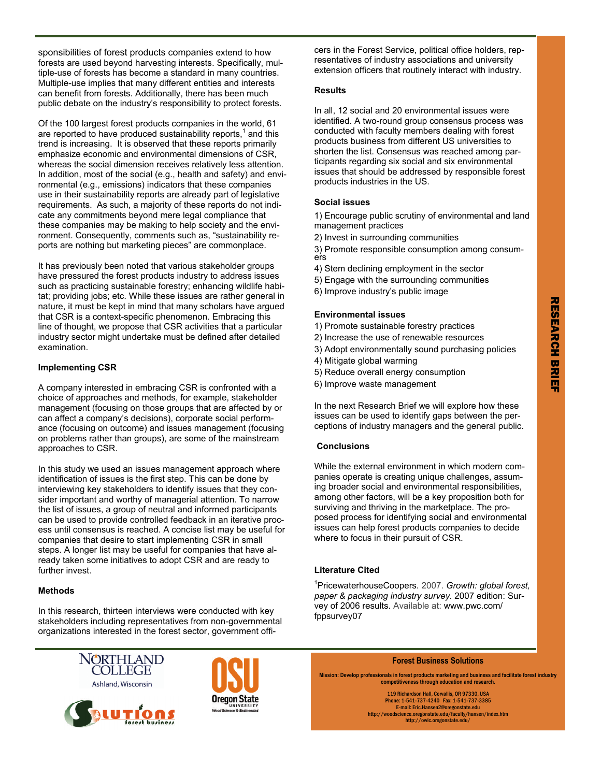sponsibilities of forest products companies extend to how forests are used beyond harvesting interests. Specifically, multiple-use of forests has become a standard in many countries. Multiple-use implies that many different entities and interests can benefit from forests. Additionally, there has been much public debate on the industry's responsibility to protect forests.

Of the 100 largest forest products companies in the world, 61 are reported to have produced sustainability reports, $<sup>1</sup>$  and this</sup> trend is increasing. It is observed that these reports primarily emphasize economic and environmental dimensions of CSR, whereas the social dimension receives relatively less attention. In addition, most of the social (e.g., health and safety) and environmental (e.g., emissions) indicators that these companies use in their sustainability reports are already part of legislative requirements. As such, a majority of these reports do not indicate any commitments beyond mere legal compliance that these companies may be making to help society and the environment. Consequently, comments such as, "sustainability reports are nothing but marketing pieces" are commonplace.

It has previously been noted that various stakeholder groups have pressured the forest products industry to address issues such as practicing sustainable forestry; enhancing wildlife habitat; providing jobs; etc. While these issues are rather general in nature, it must be kept in mind that many scholars have argued that CSR is a context-specific phenomenon. Embracing this line of thought, we propose that CSR activities that a particular industry sector might undertake must be defined after detailed examination.

#### **Implementing CSR**

A company interested in embracing CSR is confronted with a choice of approaches and methods, for example, stakeholder management (focusing on those groups that are affected by or can affect a company's decisions), corporate social performance (focusing on outcome) and issues management (focusing on problems rather than groups), are some of the mainstream approaches to CSR.

In this study we used an issues management approach where identification of issues is the first step. This can be done by interviewing key stakeholders to identify issues that they consider important and worthy of managerial attention. To narrow the list of issues, a group of neutral and informed participants can be used to provide controlled feedback in an iterative process until consensus is reached. A concise list may be useful for companies that desire to start implementing CSR in small steps. A longer list may be useful for companies that have already taken some initiatives to adopt CSR and are ready to further invest.

### **Methods**

In this research, thirteen interviews were conducted with key stakeholders including representatives from non-governmental organizations interested in the forest sector, government officers in the Forest Service, political office holders, representatives of industry associations and university extension officers that routinely interact with industry.

### **Results**

In all, 12 social and 20 environmental issues were identified. A two-round group consensus process was conducted with faculty members dealing with forest products business from different US universities to shorten the list. Consensus was reached among participants regarding six social and six environmental issues that should be addressed by responsible forest products industries in the US.

### **Social issues**

1) Encourage public scrutiny of environmental and land management practices

- 2) Invest in surrounding communities
- 3) Promote responsible consumption among consumers
- 4) Stem declining employment in the sector
- 5) Engage with the surrounding communities
- 6) Improve industry's public image

### **Environmental issues**

- 1) Promote sustainable forestry practices
- 2) Increase the use of renewable resources
- 3) Adopt environmentally sound purchasing policies
- 4) Mitigate global warming
- 5) Reduce overall energy consumption
- 6) Improve waste management

In the next Research Brief we will explore how these issues can be used to identify gaps between the perceptions of industry managers and the general public.

### **Conclusions**

While the external environment in which modern companies operate is creating unique challenges, assuming broader social and environmental responsibilities, among other factors, will be a key proposition both for surviving and thriving in the marketplace. The proposed process for identifying social and environmental issues can help forest products companies to decide where to focus in their pursuit of CSR.

### **Literature Cited**

1 PricewaterhouseCoopers. 2007. *Growth: global forest, paper & packaging industry survey.* 2007 edition: Survey of 2006 results. Available at: www.pwc.com/ fppsurvey07







**Forest Business Solutions** 

**Mission: Develop professionals in forest products marketing and business and facilitate forest industry competitiveness through education and research.** 

119 Richardson Hall, Corvallis, OR 97330, USA Phone: 1-541-737-4240 Fax: 1-541-737-3385 E-mail: Eric.Hansen2@oregonstate.edu http://woodscience.oregonstate.edu/faculty/hansen/index.htm http://owic.oregonstate.edu/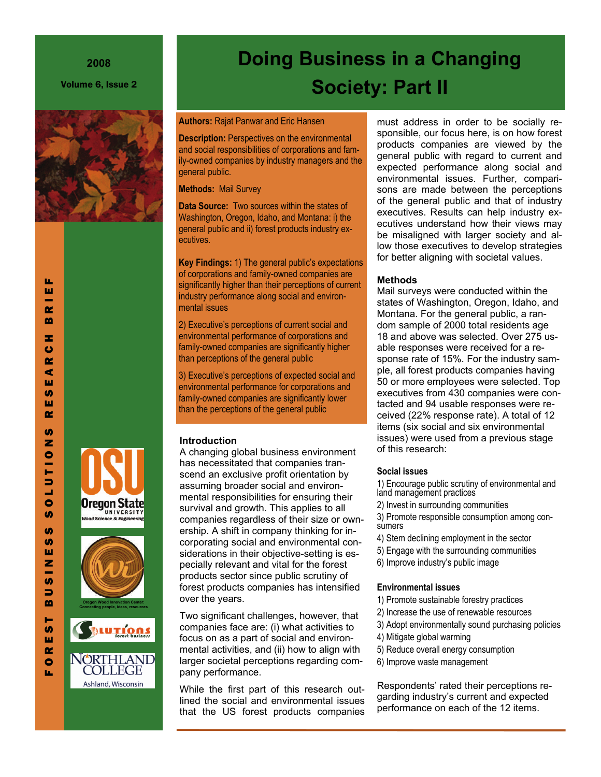### **2008**

Volume 6, Issue 2



# Oregon State UNIVERSIT nce & Engir





Ashland, Wisconsin

# **Doing Business in a Changing Society: Part II**

### **Authors:** Rajat Panwar and Eric Hansen

**Description: Perspectives on the environmental** and social responsibilities of corporations and family-owned companies by industry managers and the general public.

### **Methods:** Mail Survey

**Data Source:** Two sources within the states of Washington, Oregon, Idaho, and Montana: i) the general public and ii) forest products industry executives.

**Key Findings:** 1) The general public's expectations of corporations and family-owned companies are significantly higher than their perceptions of current industry performance along social and environmental issues

2) Executive's perceptions of current social and environmental performance of corporations and family-owned companies are significantly higher than perceptions of the general public

3) Executive's perceptions of expected social and environmental performance for corporations and family-owned companies are significantly lower than the perceptions of the general public

# **Introduction**

A changing global business environment has necessitated that companies transcend an exclusive profit orientation by assuming broader social and environmental responsibilities for ensuring their survival and growth. This applies to all companies regardless of their size or ownership. A shift in company thinking for incorporating social and environmental considerations in their objective-setting is especially relevant and vital for the forest products sector since public scrutiny of forest products companies has intensified over the years.

Two significant challenges, however, that companies face are: (i) what activities to focus on as a part of social and environmental activities, and (ii) how to align with larger societal perceptions regarding company performance.

While the first part of this research outlined the social and environmental issues that the US forest products companies must address in order to be socially responsible, our focus here, is on how forest products companies are viewed by the general public with regard to current and expected performance along social and environmental issues. Further, comparisons are made between the perceptions of the general public and that of industry executives. Results can help industry executives understand how their views may be misaligned with larger society and allow those executives to develop strategies for better aligning with societal values.

# **Methods**

Mail surveys were conducted within the states of Washington, Oregon, Idaho, and Montana. For the general public, a random sample of 2000 total residents age 18 and above was selected. Over 275 usable responses were received for a response rate of 15%. For the industry sample, all forest products companies having 50 or more employees were selected. Top executives from 430 companies were contacted and 94 usable responses were received (22% response rate). A total of 12 items (six social and six environmental issues) were used from a previous stage of this research:

# **Social issues**

1) Encourage public scrutiny of environmental and land management practices

2) Invest in surrounding communities

3) Promote responsible consumption among consumers

- 4) Stem declining employment in the sector
- 5) Engage with the surrounding communities
- 6) Improve industry's public image

# **Environmental issues**

- 1) Promote sustainable forestry practices
- 2) Increase the use of renewable resources
	- 3) Adopt environmentally sound purchasing policies
	- 4) Mitigate global warming
	- 5) Reduce overall energy consumption
	- 6) Improve waste management

Respondents' rated their perceptions regarding industry's current and expected performance on each of the 12 items.

 $\bullet$ 

u.

u. ш